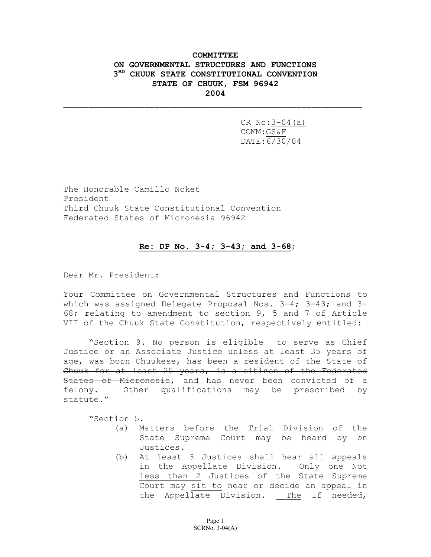## **COMMITTEE ON GOVERNMENTAL STRUCTURES AND FUNCTIONS 3RD CHUUK STATE CONSTITUTIONAL CONVENTION STATE OF CHUUK, FSM 96942 2004**

 $\_$  , and the contribution of the contribution of  $\mathcal{L}_\mathcal{A}$  , and the contribution of  $\mathcal{L}_\mathcal{A}$  , and

CR No:3-04(a) COMM:GS&F DATE:6/30/04

The Honorable Camillo Noket President Third Chuuk State Constitutional Convention Federated States of Micronesia 96942

#### **Re: DP No. 3-4; 3-43; and 3-68**;

Dear Mr. President:

Your Committee on Governmental Structures and Functions to which was assigned Delegate Proposal Nos.  $3-4$ ;  $3-43$ ; and  $3-$ 68; relating to amendment to section 9, 5 and 7 of Article VII of the Chuuk State Constitution, respectively entitled:

"Section 9. No person is eligible to serve as Chief Justice or an Associate Justice unless at least 35 years of age, was born Chuukese, has been a resident of the State of Chuuk for at least 25 years, is a citizen of the Federated States of Micronesia, and has never been convicted of a felony. Other qualifications may be prescribed by statute."

"Section 5.

- (a) Matters before the Trial Division of the State Supreme Court may be heard by on Justices.
- (b) At least 3 Justices shall hear all appeals in the Appellate Division. Only one Not less than 2 Justices of the State Supreme Court may sit to hear or decide an appeal in the Appellate Division. The If needed,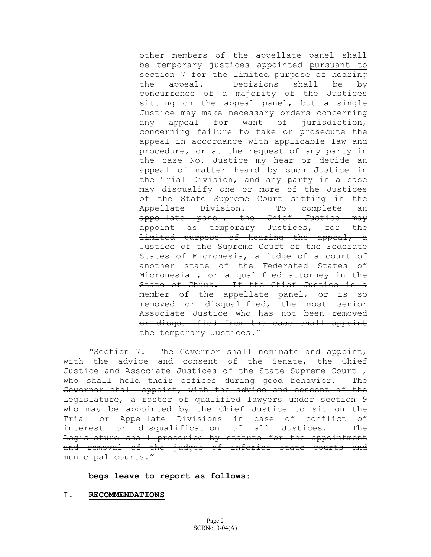other members of the appellate panel shall be temporary justices appointed pursuant to section 7 for the limited purpose of hearing the appeal. Decisions shall be by concurrence of a majority of the Justices sitting on the appeal panel, but a single Justice may make necessary orders concerning any appeal for want of jurisdiction, concerning failure to take or prosecute the appeal in accordance with applicable law and procedure, or at the request of any party in the case No. Justice my hear or decide an appeal of matter heard by such Justice in the Trial Division, and any party in a case may disqualify one or more of the Justices of the State Supreme Court sitting in the Appellate Division. To complete an appellate panel, the Chief Justice may appoint as temporary Justices, for the limited purpose of hearing the appeal, a Justice of the Supreme Court of the Federate States of Micronesia, a judge of a court of another state of the Federated States of Micronesia , or a qualified attorney in the State of Chuuk. If the Chief Justice is a member of the appellate panel, or is so removed or disqualified, the most senior Associate Justice who has not been removed or disqualified from the case shall appoint the temporary Justices."

"Section 7. The Governor shall nominate and appoint, with the advice and consent of the Senate, the Chief Justice and Associate Justices of the State Supreme Court , who shall hold their offices during good behavior. The Governor shall appoint, with the advice and consent of the Legislature, a roster of qualified lawyers under section 9 who may be appointed by the Chief Justice to sit on the Trial or Appellate Divisions in case of conflict of interest or disqualification of all Justices. The Legislature shall prescribe by statute for the appointment and removal of the judges of inferior state courts and municipal courts."

**begs leave to report as follows:** 

#### I. **RECOMMENDATIONS**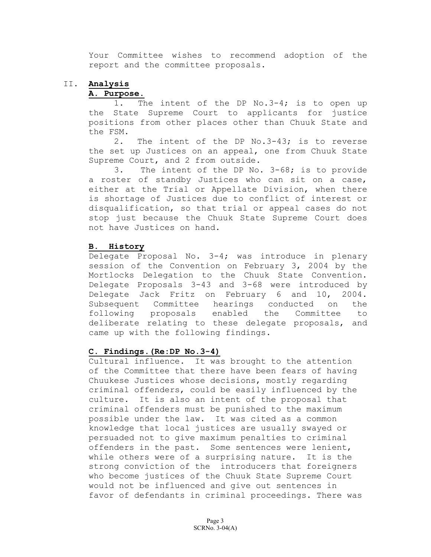Your Committee wishes to recommend adoption of the report and the committee proposals.

# II. **Analysis**

### **A. Purpose**.

1. The intent of the DP No.3-4; is to open up the State Supreme Court to applicants for justice positions from other places other than Chuuk State and the FSM.

2. The intent of the DP No.3-43; is to reverse the set up Justices on an appeal, one from Chuuk State Supreme Court, and 2 from outside.

3. The intent of the DP No. 3-68; is to provide a roster of standby Justices who can sit on a case, either at the Trial or Appellate Division, when there is shortage of Justices due to conflict of interest or disqualification, so that trial or appeal cases do not stop just because the Chuuk State Supreme Court does not have Justices on hand.

## **B. History**

Delegate Proposal No. 3-4; was introduce in plenary session of the Convention on February 3, 2004 by the Mortlocks Delegation to the Chuuk State Convention. Delegate Proposals 3-43 and 3-68 were introduced by Delegate Jack Fritz on February 6 and 10, 2004. Subsequent Committee hearings conducted on the following proposals enabled the Committee to deliberate relating to these delegate proposals, and came up with the following findings.

### **C. Findings.(Re:DP No.3-4)**

Cultural influence. It was brought to the attention of the Committee that there have been fears of having Chuukese Justices whose decisions, mostly regarding criminal offenders, could be easily influenced by the culture. It is also an intent of the proposal that criminal offenders must be punished to the maximum possible under the law. It was cited as a common knowledge that local justices are usually swayed or persuaded not to give maximum penalties to criminal offenders in the past. Some sentences were lenient, while others were of a surprising nature. It is the strong conviction of the introducers that foreigners who become justices of the Chuuk State Supreme Court would not be influenced and give out sentences in favor of defendants in criminal proceedings. There was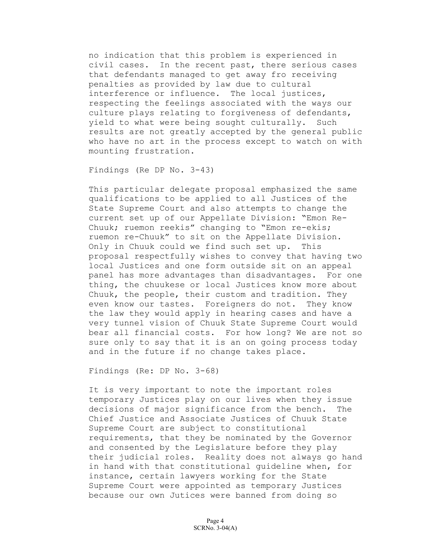no indication that this problem is experienced in civil cases. In the recent past, there serious cases that defendants managed to get away fro receiving penalties as provided by law due to cultural interference or influence. The local justices, respecting the feelings associated with the ways our culture plays relating to forgiveness of defendants, yield to what were being sought culturally. Such results are not greatly accepted by the general public who have no art in the process except to watch on with mounting frustration.

Findings (Re DP No. 3-43)

This particular delegate proposal emphasized the same qualifications to be applied to all Justices of the State Supreme Court and also attempts to change the current set up of our Appellate Division: "Emon Re-Chuuk; ruemon reekis" changing to "Emon re-ekis; ruemon re-Chuuk" to sit on the Appellate Division. Only in Chuuk could we find such set up. This proposal respectfully wishes to convey that having two local Justices and one form outside sit on an appeal panel has more advantages than disadvantages. For one thing, the chuukese or local Justices know more about Chuuk, the people, their custom and tradition. They even know our tastes. Foreigners do not. They know the law they would apply in hearing cases and have a very tunnel vision of Chuuk State Supreme Court would bear all financial costs. For how long? We are not so sure only to say that it is an on going process today and in the future if no change takes place.

Findings (Re: DP No. 3-68)

It is very important to note the important roles temporary Justices play on our lives when they issue decisions of major significance from the bench. The Chief Justice and Associate Justices of Chuuk State Supreme Court are subject to constitutional requirements, that they be nominated by the Governor and consented by the Legislature before they play their judicial roles. Reality does not always go hand in hand with that constitutional guideline when, for instance, certain lawyers working for the State Supreme Court were appointed as temporary Justices because our own Jutices were banned from doing so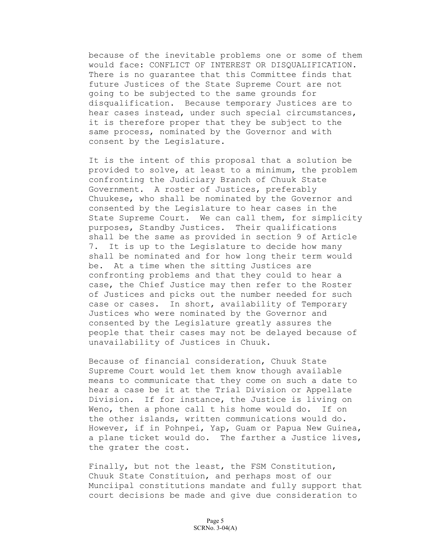because of the inevitable problems one or some of them would face: CONFLICT OF INTEREST OR DISQUALIFICATION. There is no guarantee that this Committee finds that future Justices of the State Supreme Court are not going to be subjected to the same grounds for disqualification. Because temporary Justices are to hear cases instead, under such special circumstances, it is therefore proper that they be subject to the same process, nominated by the Governor and with consent by the Legislature.

It is the intent of this proposal that a solution be provided to solve, at least to a minimum, the problem confronting the Judiciary Branch of Chuuk State Government. A roster of Justices, preferably Chuukese, who shall be nominated by the Governor and consented by the Legislature to hear cases in the State Supreme Court. We can call them, for simplicity purposes, Standby Justices. Their qualifications shall be the same as provided in section 9 of Article 7. It is up to the Legislature to decide how many shall be nominated and for how long their term would be. At a time when the sitting Justices are confronting problems and that they could to hear a case, the Chief Justice may then refer to the Roster of Justices and picks out the number needed for such case or cases. In short, availability of Temporary Justices who were nominated by the Governor and consented by the Legislature greatly assures the people that their cases may not be delayed because of unavailability of Justices in Chuuk.

Because of financial consideration, Chuuk State Supreme Court would let them know though available means to communicate that they come on such a date to hear a case be it at the Trial Division or Appellate Division. If for instance, the Justice is living on Weno, then a phone call t his home would do. If on the other islands, written communications would do. However, if in Pohnpei, Yap, Guam or Papua New Guinea, a plane ticket would do. The farther a Justice lives, the grater the cost.

Finally, but not the least, the FSM Constitution, Chuuk State Constituion, and perhaps most of our Munciipal constitutions mandate and fully support that court decisions be made and give due consideration to